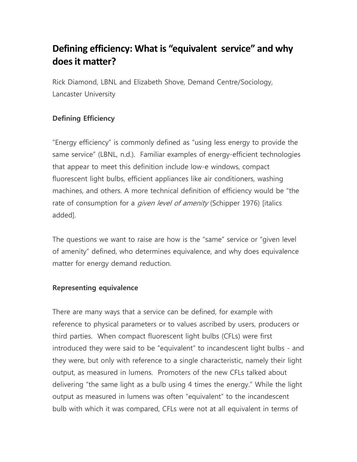# **Defining efficiency: What is "equivalent service" and why does it matter?**

Rick Diamond, LBNL and Elizabeth Shove, Demand Centre/Sociology, Lancaster University

## **Defining Efficiency**

"Energy efficiency" is commonly defined as "using less energy to provide the same service" (LBNL, n.d.). Familiar examples of energy-efficient technologies that appear to meet this definition include low-e windows, compact fluorescent light bulbs, efficient appliances like air conditioners, washing machines, and others. A more technical definition of efficiency would be "the rate of consumption for a *given level of amenity* (Schipper 1976) [italics added].

The questions we want to raise are how is the "same" service or "given level of amenity" defined, who determines equivalence, and why does equivalence matter for energy demand reduction.

### **Representing equivalence**

There are many ways that a service can be defined, for example with reference to physical parameters or to values ascribed by users, producers or third parties. When compact fluorescent light bulbs (CFLs) were first introduced they were said to be "equivalent" to incandescent light bulbs - and they were, but only with reference to a single characteristic, namely their light output, as measured in lumens. Promoters of the new CFLs talked about delivering "the same light as a bulb using 4 times the energy." While the light output as measured in lumens was often "equivalent" to the incandescent bulb with which it was compared, CFLs were not at all equivalent in terms of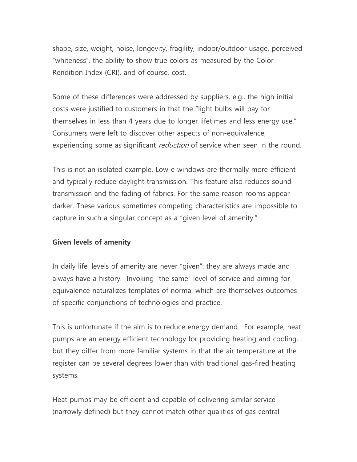shape, size, weight, noise, longevity, fragility, indoor/outdoor usage, perceived "whiteness", the ability to show true colors as measured by the Color Rendition Index (CRI), and of course, cost.

Some of these differences were addressed by suppliers, e.g., the high initial costs were justified to customers in that the "light bulbs will pay for themselves in less than 4 years due to longer lifetimes and less energy use." Consumers were left to discover other aspects of non-equivalence, experiencing some as significant *reduction* of service when seen in the round.

This is not an isolated example. Low-e windows are thermally more efficient and typically reduce daylight transmission. This feature also reduces sound transmission and the fading of fabrics. For the same reason rooms appear darker. These various sometimes competing characteristics are impossible to capture in such a singular concept as a "given level of amenity."

### **Given levels of amenity**

In daily life, levels of amenity are never "given": they are always made and always have a history. Invoking "the same" level of service and aiming for equivalence naturalizes templates of normal which are themselves outcomes of specific conjunctions of technologies and practice.

This is unfortunate if the aim is to reduce energy demand. For example, heat pumps are an energy efficient technology for providing heating and cooling, but they differ from more familiar systems in that the air temperature at the register can be several degrees lower than with traditional gas-fired heating systems.

Heat pumps may be efficient and capable of delivering similar service (narrowly defined) but they cannot match other qualities of gas central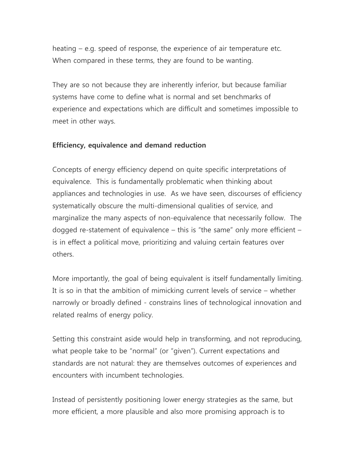heating – e.g. speed of response, the experience of air temperature etc. When compared in these terms, they are found to be wanting.

They are so not because they are inherently inferior, but because familiar systems have come to define what is normal and set benchmarks of experience and expectations which are difficult and sometimes impossible to meet in other ways.

### **Efficiency, equivalence and demand reduction**

Concepts of energy efficiency depend on quite specific interpretations of equivalence. This is fundamentally problematic when thinking about appliances and technologies in use. As we have seen, discourses of efficiency systematically obscure the multi-dimensional qualities of service, and marginalize the many aspects of non-equivalence that necessarily follow. The dogged re-statement of equivalence – this is "the same" only more efficient – is in effect a political move, prioritizing and valuing certain features over others.

More importantly, the goal of being equivalent is itself fundamentally limiting. It is so in that the ambition of mimicking current levels of service – whether narrowly or broadly defined - constrains lines of technological innovation and related realms of energy policy.

Setting this constraint aside would help in transforming, and not reproducing, what people take to be "normal" (or "given"). Current expectations and standards are not natural: they are themselves outcomes of experiences and encounters with incumbent technologies.

Instead of persistently positioning lower energy strategies as the same, but more efficient, a more plausible and also more promising approach is to